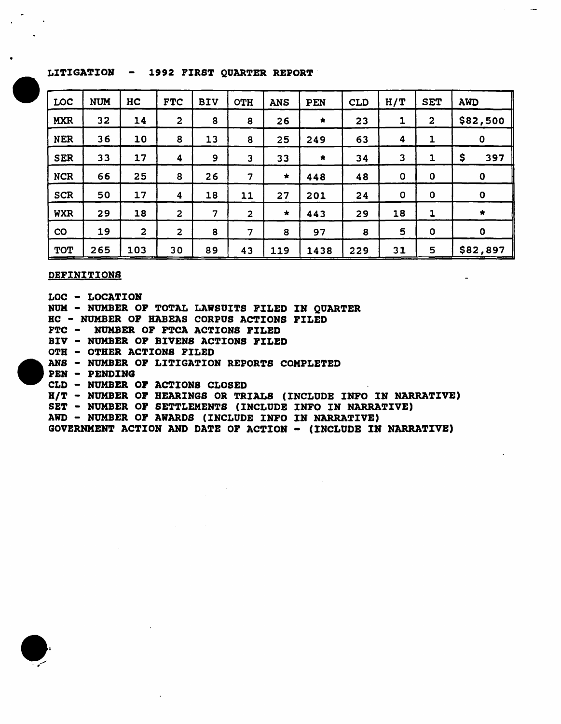# LITIGATION - 1992 FIRST QUARTER REPORT

| LOC        | <b>NUM</b> | HC             | <b>FTC</b>              | <b>BIV</b> | <b>OTH</b>              | <b>ANS</b> | <b>PEN</b> | <b>CLD</b> | H/T              | <b>SET</b>              | <b>AWD</b>           |  |
|------------|------------|----------------|-------------------------|------------|-------------------------|------------|------------|------------|------------------|-------------------------|----------------------|--|
| <b>MXR</b> | 32         | 14             | $\overline{\mathbf{c}}$ | 8          | 8                       | 26         | $\star$    | 23         | $\mathbf{1}$     | $\overline{\mathbf{c}}$ | \$82,500             |  |
| <b>NER</b> | 36         | 10             | 8                       | 13         | 8                       | 25         | 249        | 63         | $\boldsymbol{4}$ | 1                       | $\pmb{0}$            |  |
| <b>SER</b> | 33         | 17             | 4                       | 9          | $\mathbf{3}$            | 33         | $\star$    | 34         | $\mathbf{3}$     | $\mathbf{1}$            | \$<br>397            |  |
| <b>NCR</b> | 66         | 25             | 8                       | 26         | $\overline{7}$          | $\star$    | 448        | 48         | $\mathbf 0$      | $\mathbf 0$             | $\mathbf{o}$         |  |
| <b>SCR</b> | 50         | 17             | 4                       | 18         | 11                      | 27         | 201        | 24         | $\mathbf 0$      | $\mathbf{o}$            | $\mathbf 0$          |  |
| <b>WXR</b> | 29         | 18             | $\overline{2}$          | 7          | $\overline{\mathbf{2}}$ | $\star$    | 443        | 29         | 18               | $\mathbf{1}$            | $\frac{1}{\sqrt{2}}$ |  |
| CO         | 19         | $\overline{2}$ | $\overline{c}$          | 8          | 7                       | 8          | 97         | 8          | 5                | $\mathbf 0$             | $\mathbf{o}$         |  |
| <b>TOT</b> | 265        | 103            | 30                      | 89         | 43                      | 119        | 1438       | 229        | 31               | 5                       | \$82,897             |  |

#### DEFINITIONS

LOC - LOCATION NUN - NUMBER OP TOTAL LAWSUITS F7LED IN QUARTER HC - NUMBER OP HABEAS CORPUS ACTIONS PILED FTC - NUMBER OP FTCA ACTIONS FILED BIV - NUMBER OP BIVENS ACTIONS PILED OTH - OTHER ACTIONS FILED ANS - NUMBER OP LITIGATION REPORTS COMPLETED PEN - PENDING CLD - NUMBER OF ACTIONS CLOSED BIT - NUMBER OF BEARINGS OR TRIALS (INCLUDE INFO IN NARRATIVE) SET - NUMBER OP SETTLEMENTS (INCLUDE INFO IN NARRATIVE) AWD - NUMBER OP AWARDS (INCLUDE INFO IN NARRATIVE)

GOVERNMENT ACTION AND DATE OF ACTION - (INCLUDE IN NARRATIVE)

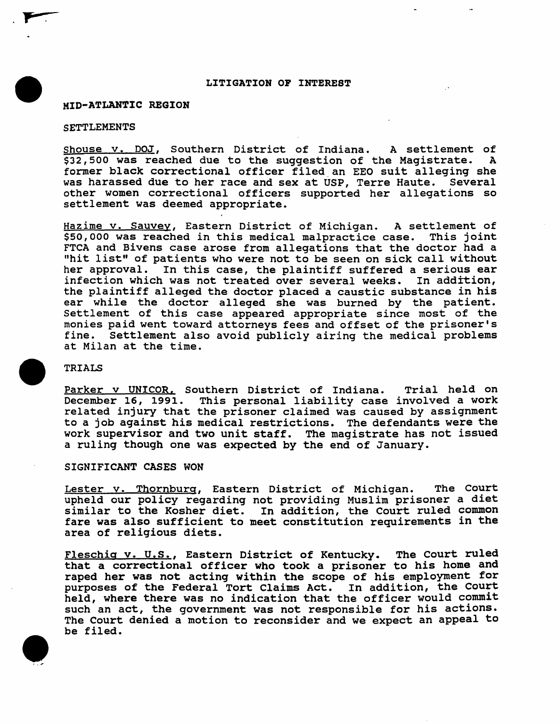## LITIGATION OF INTEREST

## MID-ATLANTIC REGION

#### SETTLEMENTS

. P $\blacksquare$ 

Shouse v. DOJ, Southern District of Indiana. A settlement of S32.500 was reached due to the suggestion of the Magistrate. A \$32,500 was reached due to the suggestion of the Magistrate. A former black correctional officer filed an EEO suit alleging she was harassed due to her race and sex at USP, Terre Haute. Several other women correctional officers supported her allegations so settlement was deemed appropriate.

Hazime v. Sauvey, Eastern District of Michigan. A settlement of \$50,000 was reached in this medical malpractice case. This joint FTCA and Bivens case arose from allegations that the doctor had a "hit list" of patients who were not to be seen on sick call without her approval. In this case, the plaintiff suffered a serious ear<br>infection which was not treated over several weeks. In addition, infection which was not treated over several weeks. the plaintiff alleged the doctor placed a caustic substance in his ear while the doctor alleged she was burned by the patient. Settlement of this case appeared appropriate since most of the monies paid went toward attorneys fees and offset of the prisoner's fine. Settlement also avoid publicly airing the medical problems at Milan at the time.

### TRIALS

Parker v UNICOR, Southern District of Indiana. Trial held on December 16, 1991. This personal liability case involved a work related injury that the prisoner claimed was caused by assignment to a job against his medical restrictions. The defendants were the work supervisor and two unit staff. The magistrate has not issued a ruling though one was expected by the end of January.

### SIGNIFICANT CASES WON

Lester v. Thornburg, Eastern District of Michigan. The Court upheld our policy regarding not providing Muslim prisoner a diet similar to the Kosher diet. In addition, the Court ruled common fare was also sufficient to meet constitution requirements in the area of religious diets.

Fleschiq v. U.S., Eastern District of Kentucky. The Court ruled that a correctional officer who took a prisoner to his home and raped her was not acting within the scope of his employment for purposes of the Federal Tort Claims Act. In addition, the Court held, where there was no indication that the officer would commit such an act, the government was not responsible for his actions. The Court denied a motion to reconsider and we expect an appeal to be filed.

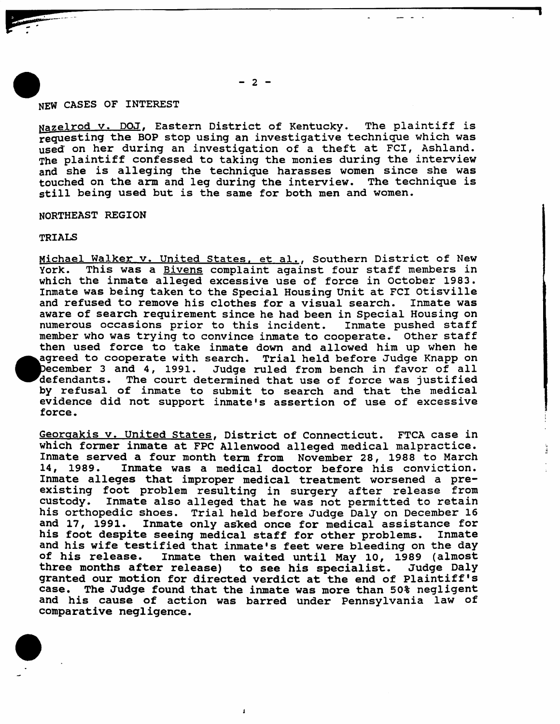# NEW CASES OF INTEREST

Nazelrod v. DOJ, Eastern District of Kentucky. The plaintiff is requesting the BOP stop using an investigative technique which was used on her during an investigation of a theft at FCI, Ashland. The plaintiff confessed to taking the monies during the interview and she is alleging the technique harasses women since she was touched on the arm and leg during the interview. The technique is still being used but is the same for both men and women.

#### NORTHEAST REGION

### TRIALS

Michael Walker v. United States, et al., Southern District of New<br>York. This was a Bivens complaint against four staff members in This was a Bivens complaint against four staff members in which the inmate alleged excessive use of force in October 1983. Inmate was being taken to the Special Housing Unit at FCI Otisville<br>and refused to remove his clothes for a visual search. Inmate was and refused to remove his clothes for a visual search. aware of search requirement since he had been in Special Housing on<br>numerous occasions prior to this incident. Inmate pushed staff numerous occasions prior to this incident. member who was trying to convince inmate to cooperate. other staff then used force to take inmate down and allowed him up when he agreed to cooperate with search. Trial held before Judge Knapp on December 3 and 4, 1991. Judge ruled from bench in favor of all<br>defendants. The court determined that use of force was justified The court determined that use of force was justified by refusal of inmate to submit to search and that the medical evidence did not support inmate's assertion of use of excessive force.

Georgakis v. united states, District of Connecticut. FTCA case in which former inmate at FPC Allenwood alleged medical malpractice. Inmate served a four month term from November 28, 1988 to March<br>14, 1989. Inmate was a medical doctor before his conviction. Inmate was a medical doctor before his conviction. Inmate alleges that improper medical treatment worsened a preexisting foot problem resulting in surgery after release from custody. Inmate also alleged that he was not permitted to retain his orthopedic shoes. Trial held before Judge Daly on December 16<br>and 17, 1991. Inmate only asked once for medical assistance for Inmate only asked once for medical assistance for<br>te seeing medical staff for other problems. Inmate his foot despite seeing medical staff for other problems. and his wife testified that inmate's feet were bleeding on the day<br>of his release. Inmate then waited until May 10, 1989 (almost Inmate then waited until May 10, 1989 (almost<br>r release) to see his specialist. Judge Daly three months after release) granted our motion for directed verdict at the end of Plaintiff's case. The Judge found that the inmate was more than 50% negligent and his cause of action was barred under Pennsylvania law of comparative negligence.

**i**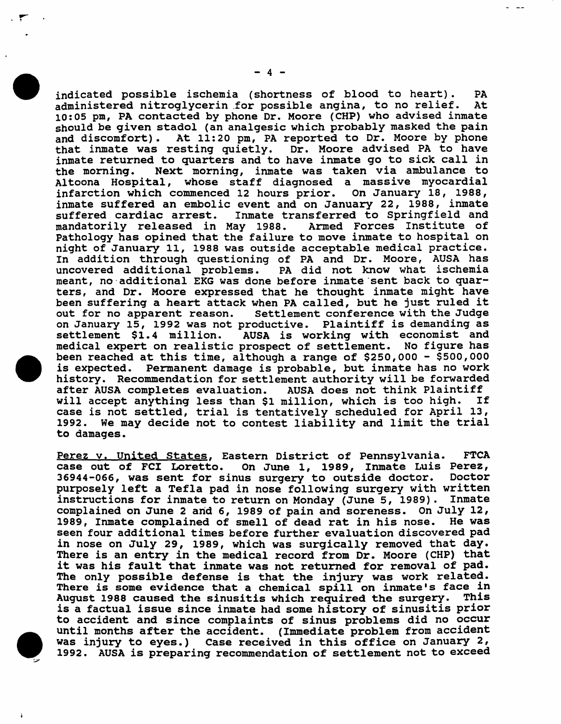indicated possible ischemia (shortness of blood to heart). PA<br>administered nitroglycerin for possible angina, to no relief. At administered nitroglycerin for possible angina, to no relief. 10:05 pm, PA contacted by phone Dr. Moore (CHP) who advised inmate should be given stadol (an analgesic which probably masked the pain and discomfort). At 11:20 pm, PA reported to Dr. Moore by phone<br>that inmate was resting quietly. Dr. Moore advised PA to have Dr. Moore advised PA to have inmate returned to quarters and to have inmate go to sick call in<br>the morning. Next morning, inmate was taken via ambulance to Next morning, inmate was taken via ambulance to Altoona Hospital, whose staff diagnosed a massive myocardial<br>infarction which commenced 12 hours prior. On January 18, 1988, infarction which commenced 12 hours prior. inmate suffered an embolic event and on January 22, 1988, inmate Inmate transferred to Springfield and<br>May 1988. Armed Forces Institute of mandatorily released in May 1988. Pathology has opined that the failure to move inmate to hospital on night of January 11, 1988 was outside acceptable medical practice. In addition through questioning of PA and Dr. Moore, AUSA has PA did not know what ischemia meant, no additional EKG was done before inmate sent back to quarters, and Dr. Moore expressed that he thought inmate might have been suffering a heart attack when PA called, but he just ruled it<br>out for no apparent reason. Settlement conference with the Judge Settlement conference with the Judge on January 15, 1992 was not productive. Plaintiff is demanding as AUSA is working with economist and medical expert on realistic prospect of settlement. No figure has been reached at this time, although a range of \$250,000 - \$500,000 is expected. Permanent damage is probable, but inmate has no work Permanent damage is probable, but inmate has no work history. Recommendation for settlement authority will be forwarded after AUSA completes evaluation. AUSA does not think Plaintiff<br>will accept anything less than \$1 million. which is too high. If will accept anything less than \$1 million, which is too high. case is not settled, trial is tentatively scheduled for April 13, 1992. We may decide not to contest liability and limit the trial to damages.

Perez v. United States, Eastern District of Pennsylvania. FTCA<br>case out of FCI Loretto. On June 1, 1989, Inmate Luis Perez, On June 1, 1989, Inmate Luis Perez,<br>us surgery to outside doctor. Doctor  $36944-066$ , was sent for sinus surgery to outside doctor. purposely left a Tefla pad in nose following surgery with written instructions for inmate to return on Monday (June 5, 1989). Inmate complained on June 2 and 6, 1989 of pain and soreness. On July 12,<br>1989, Inmate complained of smell of dead rat in his nose. He was 1989, Inmate complained of smell of dead rat in his nose. seen four additional times before further evaluation discovered pad in nose on July 29, 1989, which was surgically removed that day. There is an entry in the medical record from Dr. Moore (CHP) that it was his fault that inmate was not returned for removal of pad. The only possible defense is that the injury was work related. There *is* some evidence that a chemical spill on inmate's face in August 1988 caused the sinusitis which required the surgery. This is a factual issue since inmate had some history of sinusitis prior to accident and since complaints of sinus problems did no occur until months after the accident. (Immediate problem from accident was injury to eyes.) Case received in this office on January 2, 1992. AUSA is preparing recommendation of settlement not to exceed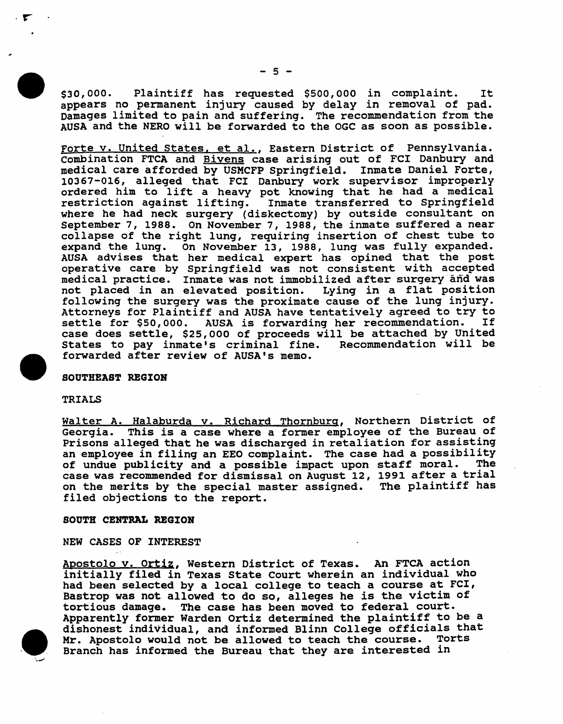\$30,000. Plaintiff has requested \$500,000 in complaint. It appears no permanent injury caused by delay in removal of pad. Damages limited to pain and suffering. The recommendation from the AUSA and the NERO will be forwarded to the OGC as soon as possible.

Forte v. United States, et al., Eastern District of Pennsylvania. Combination FTCA and Bivens case arising out of FCI Danbury and medical care afforded by USMCFP springfield. Inmate Daniel Forte, 10367-016, alleged that FCI Danbury work supervisor improperly ordered him to lift a heavy pot knowing that he had a medical restriction against lifting. Inmate transferred to springfield where he had neck surgery (diskectomy) by outside consultant on September 7, 1988. On November 7, 1988, the inmate suffered a near collapse of the right lung, requiring insertion of chest tube to expand the lung. On November 13, 1988, lung was fully expanded. AUSA advises that her medical expert has opined that the post operative care by springfield was not consistent with accepted medical practice. Inmate was not immobilized after surgery· and was medical practice. Inmate was not immobilized after surgery dnd was following the surgery was the proximate cause of the lung injury. Attorneys for Plaintiff and AUSA have tentatively agreed to try to settle for \$50,000. AUSA is forwarding her recommendation. case does settle, \$25,000 of proceeds will be attached by united States to pay inmate's criminal fine. forwarded after review of AUSA's memo.

### SOUTHEAST REGION

#### TRIALS

Walter A. Halaburda v. Richard Thornburg, Northern District of Georgia. This is a case where a former employee of the Bureau of Prisons alleged that he was discharged in retaliation for assisting an employee in filing an EEO complaint. The case had a possibility<br>of undue publicity and a possible impact upon staff moral. The of undue publicity and a possible impact upon staff moral. case was recommended for dismissal on August 12, 1991 after a trial on the merits by the special master assigned. The plaintiff has filed objections to the report.

### SOUTH CENTRAL REGION

NEW CASES OF INTEREST

Apostolo v. ortiz, Western District of Texas. An FTCA action initially filed in Texas State Court wherein an individual who had been selected by a local college to teach a course at FCl, Bastrop was not allowed to do so, alleges he is the victim of tortious damage. The case has been moved to federal court. Apparently former Warden ortiz determined the plaintiff to be a dishonest individual, and informed Blinn College officials that Mr. Apostolo would not be allowed to teach the course. Torts Branch has informed the Bureau that they are interested in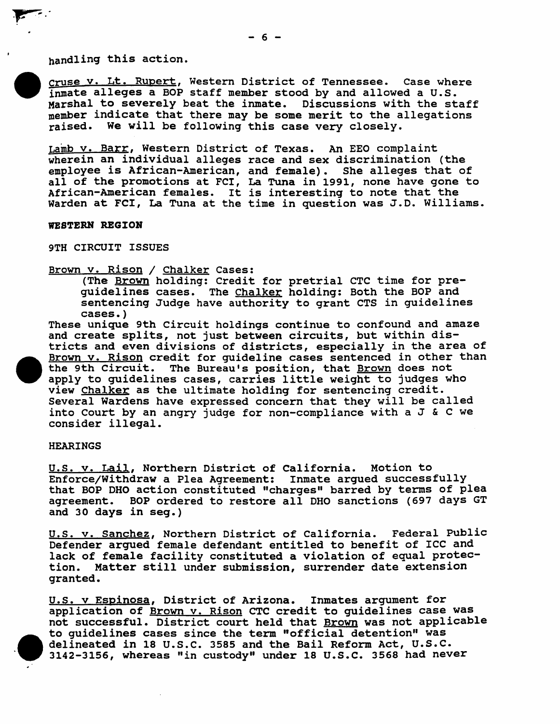handling this action.

cruse v. Lt. Rupert, Western District of Tennessee. Case where inmate alleges a BOP staff member stood by and allowed a U.S. Marshal to severely beat the inmate. Discussions with the staff member indicate that there may be some merit to the allegations raised. We will be following this case very closely.

Lamb v. Barr, Western District of Texas. An EEO complaint wherein an individual alleges race and sex discrimination (the employee is African-American, and female). She alleges that of all of the promotions at Fel, La TUna in 1991, none have gone to African-American females. It is interesting to note that the Warden at FCl, La Tuna at the time in question was J.D. Williams.

#### WESTERN REGION

9TH CIRCUIT ISSUES

Brown v. Rison / Chalker Cases:

(The Brown holding: Credit for pretrial CTC time for preguidelines cases. The Chalker holding: Both the BOP and sentencing Judge have authority to grant CTS in guidelines cases. )

These unique 9th Circuit holdings continue to confound and amaze and create splits, not just between circuits, but within districts and even divisions of districts, especially in the area of Brown v. Rison credit for guideline cases sentenced in other than<br>the 9th Circuit. The Bureau's position, that Brown does not The Bureau's position, that Brown does not apply to guidelines cases, carries little weight to judges who view Chalker as the ultimate holding for sentencing credit. Several Wardens have expressed concern that they will be called into Court by an angry judge for non-compliance with a J & C we consider illegal.

### HEARINGS

u.s. v. Lail, Northern District of California. Motion to Enforce/Withdraw a Plea Agreement: Inmate argued successfully that BOP DHO action constituted "charges" barred by terms of plea agreement. BOP ordered to restore all DHO sanctions (697 days GT and 30 days in seg.)

u.s. v. Sanchez, Northern District of California. Federal public Defender argued female defendant entitled to benefit of ICC and lack of female facility constituted a violation of equal protection. Matter still under submission, surrender date extension granted.

u.S. v Espinosa, District of Arizona. Inmates argument for application of Brown v. Rison CTC credit to guidelines case was not successful. District court held that Brown was not applicable to guidelines cases since the term "official detention" was delineated in 18 U.S.C. 3585 and the Bail Reform Act, U.S.C. 3142-3156, whereas "in custody" under 18 U.S.C. 3568 had never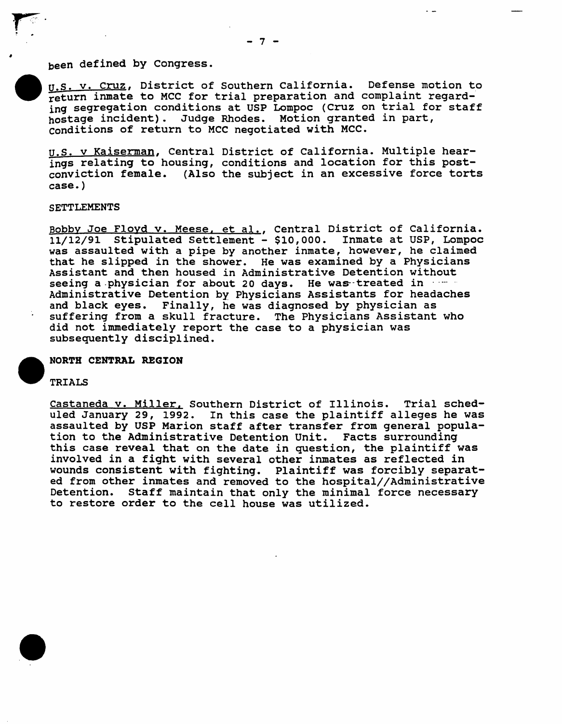# been defined by Congress.

U.S. v. Cruz, District of Southern California. Defense motion to return inmate to MCC for trial preparation and complaint regarding segregation conditions at USP Lompoc (cruz on trial for staff hostage incident). Judge Rhodes. Motion granted in part, conditions of return to MCC negotiated with MCC.

u.s. v Kaiserman, Central District of California. Multiple hearings relating to housing, conditions and location for this postconviction female. (Also the subject in an excessive force torts case. )

#### SETTLEMENTS

Bobby Joe Floyd v. Meese. et al., Central District of California. 11/12/91 stipulated settlement - \$10,000. Inmate at USP, Lompoc was assaulted with a pipe by another inmate, however, he claimed that he slipped in the shower. He was examined by a Physicians Assistant and then housed in Administrative Detention without seeing a physician for about 20 days. He was treated in Administrative Detention by Physicians Assistants for headaches and black eyes. Finally, he was diagnosed by physician as suffering from a skull fracture. The Physicians Assistant who did not immediately report the case to a physician was subsequently disciplined.

## NORTH CENTRAL REGION

# TRIALS

castaneda v. Miller. Southern District of Illinois. Trial scheduled January 29, 1992. In this case the plaintiff alleges he was assaulted by USP Marion staff after transfer from general population to the Administrative Detention Unit. Facts surrounding this case reveal that on the date in question, the plaintiff was involved in a fight with several other inmates as reflected in wounds consistent with fighting. Plaintiff was forcibly separated from other inmates and removed to the hospital//Administrative Detention. Staff maintain that only the minimal force necessary to restore order to the cell house was utilized.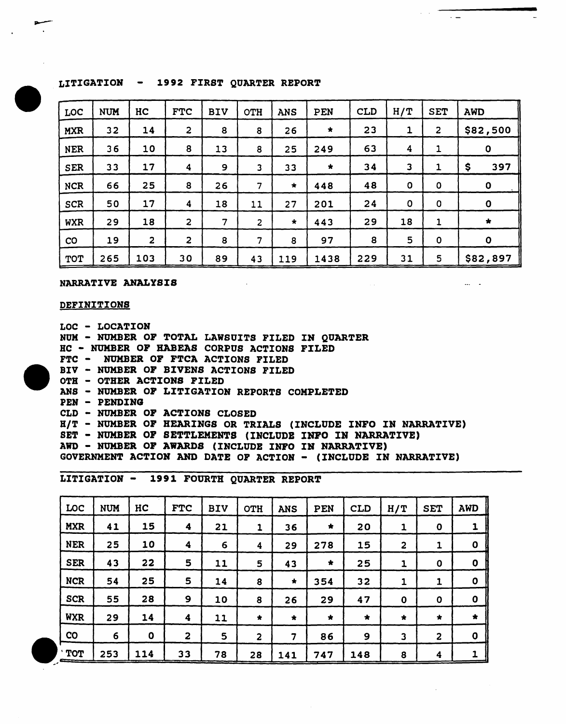# LITIGATION - 1992 FIRST QUARTER REPORT

| LOC        | <b>NUM</b> | HC                      | <b>FTC</b>              | <b>BIV</b> | OTH            | <b>ANS</b> | PEN     | <b>CLD</b> | H/T                     | <b>SET</b>         | <b>AWD</b>   |  |
|------------|------------|-------------------------|-------------------------|------------|----------------|------------|---------|------------|-------------------------|--------------------|--------------|--|
| <b>MXR</b> | 32         | 14                      | $\overline{\mathbf{c}}$ | 8          | 8              | 26         | $\star$ | 23         | 1                       | $\overline{2}$     | \$82,500     |  |
| <b>NER</b> | 36         | 10                      | 8                       | 13         | 8              | 25         | 249     | 63         | 4                       | 1                  | $\mathbf 0$  |  |
| <b>SER</b> | 33         | 17                      | 4                       | 9          | 3              | 33         | $\star$ | 34         | $\overline{\mathbf{3}}$ | 1                  | \$<br>397    |  |
| <b>NCR</b> | 66         | 25                      | 8                       | 26         | 7              | $\star$    | 448     | 48         | $\mathbf 0$             | $\pmb{\mathsf{O}}$ | $\mathbf 0$  |  |
| <b>SCR</b> | 50         | 17                      | $\boldsymbol{4}$        | 18         | 11             | 27         | 201     | 24         | $\mathbf 0$             | $\mathbf 0$        | $\mathbf 0$  |  |
| <b>WXR</b> | 29         | 18                      | $\overline{\mathbf{c}}$ | 7          | $\overline{c}$ | $\star$    | 443     | 29         | 18                      | 1                  | $\star$      |  |
| CO         | 19         | $\overline{\mathbf{c}}$ | $\overline{2}$          | 8          | 7              | 8          | 97      | 8          | 5                       | $\pmb{0}$          | $\mathbf{o}$ |  |
| <b>TOT</b> | 265        | 103                     | 30                      | 89         | 43             | 119        | 1438    | 229        | 31                      | 5                  | \$82,897     |  |

 $\sim 10$ 

 $\alpha = \alpha$  .

 $\overline{\phantom{a}}$  .  $\overline{\phantom{a}}$ 

 $\cdots$ 

NARRATIVE ANALYSIS

#### **DEFINITIONS**

LOC - LOCATZON NUH - NUMBER OF TOTAL LAWSUITS FILED IN QUARTER HC - NUMBER OF HABEAS CORPUS ACTIONS FILED FTC - NUMBER OF FTCA ACTIONS FILED BIV - NUMBER OF BIVENS ACTIONS FILED OTH - OTHER ACTIONS FILED ANS - NUMBER OF LITIGATION REPORTS COMPLETED PEN - PENDZNG CLD - NUMBER OF ACTIONS CLOSED BIT - NUMBER OF HEARINGS OR TRIALS (INCLUDE INFO IN NARRATIVE) SET - NUMBER OF SETTLEMENTS (INCLUDB INFO IN NARRATIVE) AWD - NUKBER OF AWARDS (INCLUDE INFO IN NARRATIVE) GOVERNMENT ACTION AND DATE OF ACTION - (INCLUDE IN NARRATIVE)

LITIGATION - 1991 FOURTH QUARTER REPORT

| LOC              | <b>NUM</b> | HC          | <b>FTC</b>              | <b>BIV</b> | OTH            | <b>ANS</b>              | PEN     | <b>CLD</b> | H/T          | <b>SET</b>     | <b>AWD</b>  |
|------------------|------------|-------------|-------------------------|------------|----------------|-------------------------|---------|------------|--------------|----------------|-------------|
| <b>MXR</b>       | 41         | 15          | 4                       | 21         | 1              | 36                      | $\star$ | 20         | 1            | $\bf{0}$       | 1           |
| <b>NER</b>       | 25         | 10          | $\overline{\mathbf{4}}$ | 6          | 4              | 29                      | 278     | 15         | $\mathbf{2}$ | 1              | $\mathbf 0$ |
| <b>SER</b>       | 43         | 22          | 5                       | 11         | 5              | 43                      | $\star$ | 25         | 1            | $\bf{0}$       | $\mathbf 0$ |
| <b>NCR</b>       | 54         | 25          | 5                       | 14         | 8              | $\star$                 | 354     | 32         | $\mathbf{1}$ | 1              | $\mathbf 0$ |
| <b>SCR</b>       | 55         | 28          | $\mathbf{9}$            | 10         | 8              | 26                      | 29      | 47         | $\mathbf 0$  | $\mathbf o$    | $\mathbf 0$ |
| <b>WXR</b>       | 29         | 14          | 4                       | 11         | $\bigstar$     | $\star$                 | $\star$ | $\star$    | $\star$      | $\star$        | $\star$     |
| <b>CO</b>        | 6          | $\mathbf 0$ | 2                       | 5          | $\overline{a}$ | $\overline{\mathbf{z}}$ | 86      | 9          | 3            | $\overline{a}$ | $\mathbf 0$ |
| <b>TOT</b><br>__ | 253        | 114         | 33                      | 78         | 28             | 141                     | 747     | 148        | 8            | 4              | 1           |